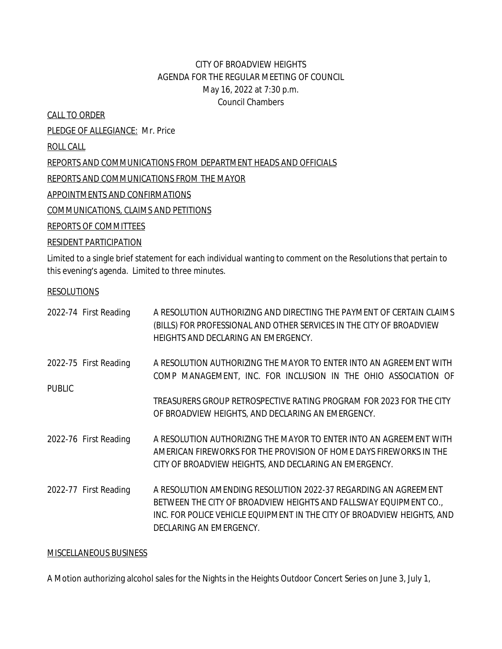## CITY OF BROADVIEW HEIGHTS AGENDA FOR THE REGULAR MEETING OF COUNCIL May 16, 2022 at 7:30 p.m. Council Chambers

CALL TO ORDER

PLEDGE OF ALLEGIANCE: Mr. Price ROLL CALL REPORTS AND COMMUNICATIONS FROM DEPARTMENT HEADS AND OFFICIALS REPORTS AND COMMUNICATIONS FROM THE MAYOR APPOINTMENTS AND CONFIRMATIONS COMMUNICATIONS, CLAIMS AND PETITIONS

REPORTS OF COMMITTEES

## RESIDENT PARTICIPATION

Limited to a single brief statement for each individual wanting to comment on the Resolutions that pertain to this evening's agenda. Limited to three minutes.

## RESOLUTIONS

|               | 2022-74 First Reading | A RESOLUTION AUTHORIZING AND DIRECTING THE PAYMENT OF CERTAIN CLAIMS<br>(BILLS) FOR PROFESSIONAL AND OTHER SERVICES IN THE CITY OF BROADVIEW<br>HEIGHTS AND DECLARING AN EMERGENCY.                                                       |
|---------------|-----------------------|-------------------------------------------------------------------------------------------------------------------------------------------------------------------------------------------------------------------------------------------|
| <b>PUBLIC</b> | 2022-75 First Reading | A RESOLUTION AUTHORIZING THE MAYOR TO ENTER INTO AN AGREEMENT WITH<br>COMP MANAGEMENT, INC. FOR INCLUSION IN THE OHIO ASSOCIATION OF                                                                                                      |
|               |                       | TREASURERS GROUP RETROSPECTIVE RATING PROGRAM FOR 2023 FOR THE CITY<br>OF BROADVIEW HEIGHTS, AND DECLARING AN EMERGENCY.                                                                                                                  |
|               | 2022-76 First Reading | A RESOLUTION AUTHORIZING THE MAYOR TO ENTER INTO AN AGREEMENT WITH<br>AMERICAN FIREWORKS FOR THE PROVISION OF HOME DAYS FIREWORKS IN THE<br>CITY OF BROADVIEW HEIGHTS, AND DECLARING AN EMERGENCY.                                        |
|               | 2022-77 First Reading | A RESOLUTION AMENDING RESOLUTION 2022-37 REGARDING AN AGREEMENT<br>BETWEEN THE CITY OF BROADVIEW HEIGHTS AND FALLSWAY EQUIPMENT CO.<br>INC. FOR POLICE VEHICLE EQUIPMENT IN THE CITY OF BROADVIEW HEIGHTS, AND<br>DECLARING AN EMERGENCY. |

## MISCELLANEOUS BUSINESS

A Motion authorizing alcohol sales for the Nights in the Heights Outdoor Concert Series on June 3, July 1,